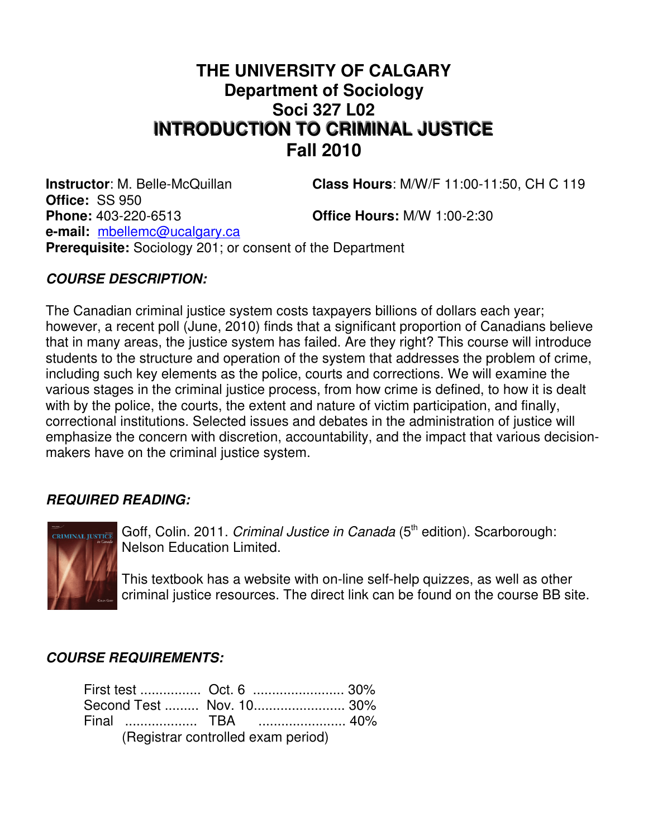# **THE UNIVERSITY OF CALGARY Department of Sociology Soci 327 L02 INTRODUCTION TO CRIMINAL JUSTICE Fall 2010**

**Instructor**: M. Belle-McQuillan **Class Hours**: M/W/F 11:00-11:50, CH C 119

**Office:** SS 950 **Phone:** 403-220-6513 **Office Hours:** M/W 1:00-2:30 **e-mail:** mbellemc@ucalgary.ca **Prerequisite:** Sociology 201; or consent of the Department

# **COURSE DESCRIPTION:**

The Canadian criminal justice system costs taxpayers billions of dollars each year; however, a recent poll (June, 2010) finds that a significant proportion of Canadians believe that in many areas, the justice system has failed. Are they right? This course will introduce students to the structure and operation of the system that addresses the problem of crime, including such key elements as the police, courts and corrections. We will examine the various stages in the criminal justice process, from how crime is defined, to how it is dealt with by the police, the courts, the extent and nature of victim participation, and finally, correctional institutions. Selected issues and debates in the administration of justice will emphasize the concern with discretion, accountability, and the impact that various decisionmakers have on the criminal justice system.

#### **REQUIRED READING:**



Goff, Colin. 2011. Criminal Justice in Canada (5<sup>th</sup> edition). Scarborough: Nelson Education Limited.

This textbook has a website with on-line self-help quizzes, as well as other criminal justice resources. The direct link can be found on the course BB site.

#### **COURSE REQUIREMENTS:**

|                                    |  |  | Second Test  Nov. 10 30% |  |
|------------------------------------|--|--|--------------------------|--|
|                                    |  |  |                          |  |
| (Registrar controlled exam period) |  |  |                          |  |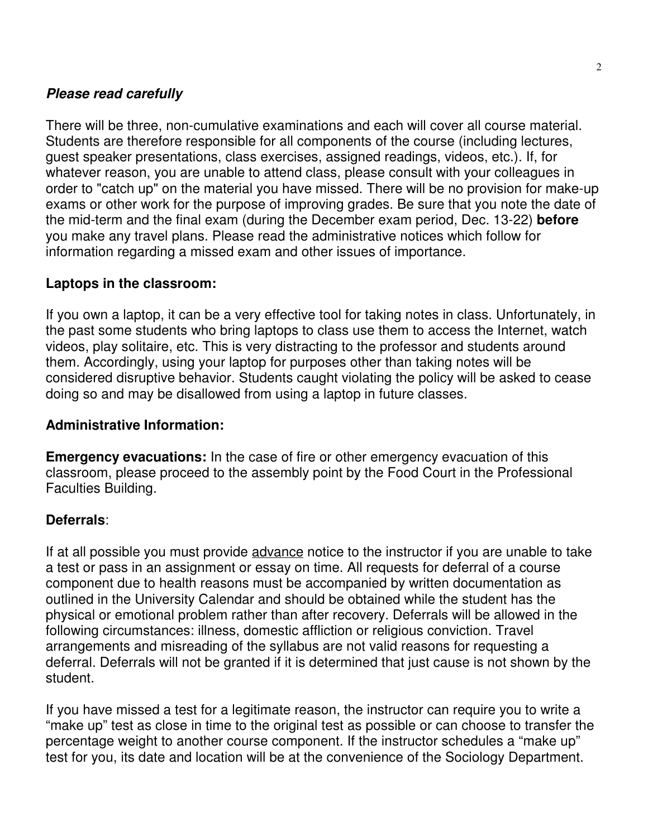#### **Please read carefully**

There will be three, non-cumulative examinations and each will cover all course material. Students are therefore responsible for all components of the course (including lectures, guest speaker presentations, class exercises, assigned readings, videos, etc.). If, for whatever reason, you are unable to attend class, please consult with your colleagues in order to "catch up" on the material you have missed. There will be no provision for make-up exams or other work for the purpose of improving grades. Be sure that you note the date of the mid-term and the final exam (during the December exam period, Dec. 13-22) **before** you make any travel plans. Please read the administrative notices which follow for information regarding a missed exam and other issues of importance.

#### **Laptops in the classroom:**

If you own a laptop, it can be a very effective tool for taking notes in class. Unfortunately, in the past some students who bring laptops to class use them to access the Internet, watch videos, play solitaire, etc. This is very distracting to the professor and students around them. Accordingly, using your laptop for purposes other than taking notes will be considered disruptive behavior. Students caught violating the policy will be asked to cease doing so and may be disallowed from using a laptop in future classes.

#### **Administrative Information:**

**Emergency evacuations:** In the case of fire or other emergency evacuation of this classroom, please proceed to the assembly point by the Food Court in the Professional Faculties Building.

#### **Deferrals**:

If at all possible you must provide advance notice to the instructor if you are unable to take a test or pass in an assignment or essay on time. All requests for deferral of a course component due to health reasons must be accompanied by written documentation as outlined in the University Calendar and should be obtained while the student has the physical or emotional problem rather than after recovery. Deferrals will be allowed in the following circumstances: illness, domestic affliction or religious conviction. Travel arrangements and misreading of the syllabus are not valid reasons for requesting a deferral. Deferrals will not be granted if it is determined that just cause is not shown by the student.

If you have missed a test for a legitimate reason, the instructor can require you to write a "make up" test as close in time to the original test as possible or can choose to transfer the percentage weight to another course component. If the instructor schedules a "make up" test for you, its date and location will be at the convenience of the Sociology Department.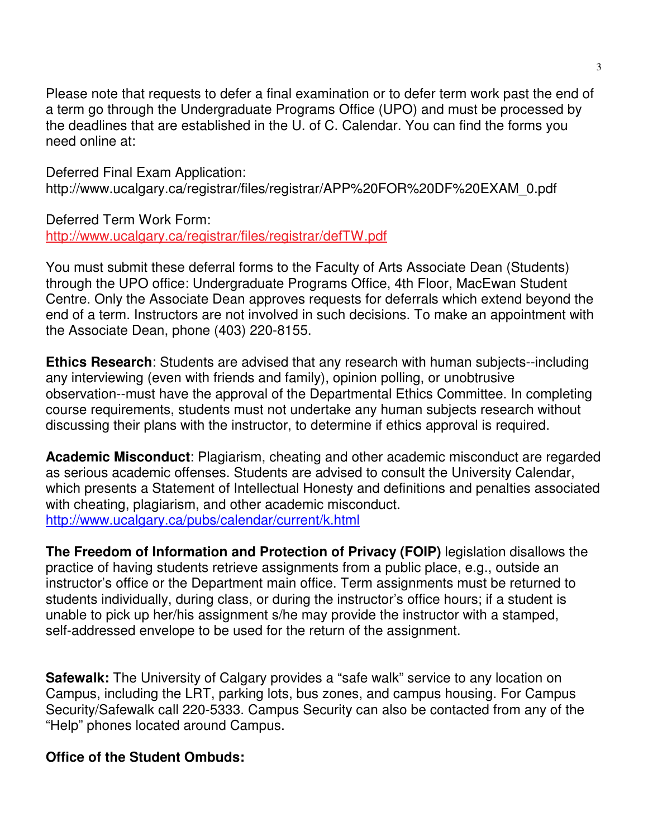Please note that requests to defer a final examination or to defer term work past the end of a term go through the Undergraduate Programs Office (UPO) and must be processed by the deadlines that are established in the U. of C. Calendar. You can find the forms you need online at:

Deferred Final Exam Application: http://www.ucalgary.ca/registrar/files/registrar/APP%20FOR%20DF%20EXAM\_0.pdf

Deferred Term Work Form:

http://www.ucalgary.ca/registrar/files/registrar/defTW.pdf

You must submit these deferral forms to the Faculty of Arts Associate Dean (Students) through the UPO office: Undergraduate Programs Office, 4th Floor, MacEwan Student Centre. Only the Associate Dean approves requests for deferrals which extend beyond the end of a term. Instructors are not involved in such decisions. To make an appointment with the Associate Dean, phone (403) 220-8155.

**Ethics Research**: Students are advised that any research with human subjects--including any interviewing (even with friends and family), opinion polling, or unobtrusive observation--must have the approval of the Departmental Ethics Committee. In completing course requirements, students must not undertake any human subjects research without discussing their plans with the instructor, to determine if ethics approval is required.

**Academic Misconduct**: Plagiarism, cheating and other academic misconduct are regarded as serious academic offenses. Students are advised to consult the University Calendar, which presents a Statement of Intellectual Honesty and definitions and penalties associated with cheating, plagiarism, and other academic misconduct. http://www.ucalgary.ca/pubs/calendar/current/k.html

**The Freedom of Information and Protection of Privacy (FOIP)** legislation disallows the practice of having students retrieve assignments from a public place, e.g., outside an instructor's office or the Department main office. Term assignments must be returned to students individually, during class, or during the instructor's office hours; if a student is unable to pick up her/his assignment s/he may provide the instructor with a stamped, self-addressed envelope to be used for the return of the assignment.

**Safewalk:** The University of Calgary provides a "safe walk" service to any location on Campus, including the LRT, parking lots, bus zones, and campus housing. For Campus Security/Safewalk call 220-5333. Campus Security can also be contacted from any of the "Help" phones located around Campus.

# **Office of the Student Ombuds:**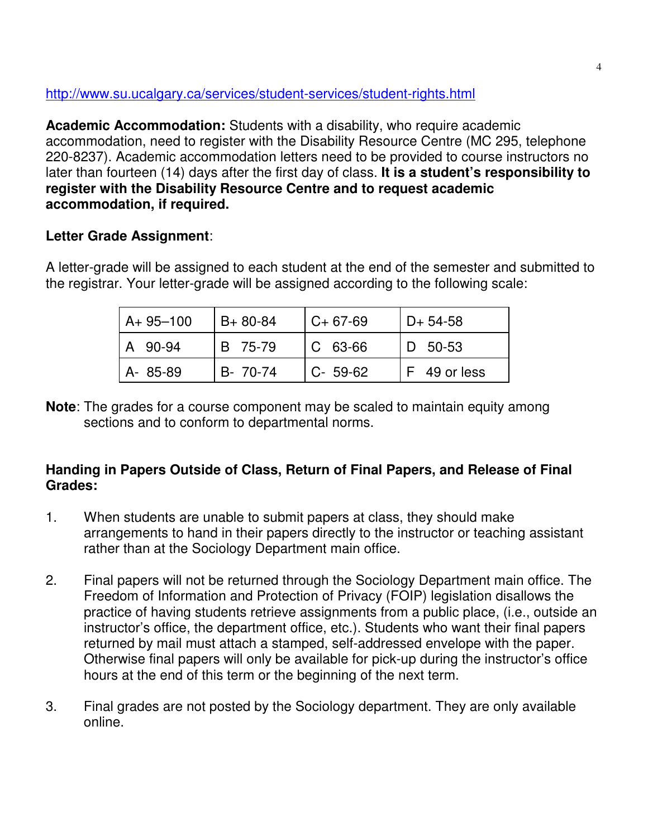http://www.su.ucalgary.ca/services/student-services/student-rights.html

**Academic Accommodation:** Students with a disability, who require academic accommodation, need to register with the Disability Resource Centre (MC 295, telephone 220-8237). Academic accommodation letters need to be provided to course instructors no later than fourteen (14) days after the first day of class. **It is a student's responsibility to register with the Disability Resource Centre and to request academic accommodation, if required.**

# **Letter Grade Assignment**:

A letter-grade will be assigned to each student at the end of the semester and submitted to the registrar. Your letter-grade will be assigned according to the following scale:

| $A + 95 - 100$ | $B+80-84$ | l C+ 67-69     | $D+ 54-58$   |
|----------------|-----------|----------------|--------------|
| A 90-94        | B 75-79   | $\mid$ C 63-66 | ID 50-53     |
| A- 85-89       | B- 70-74  | $C - 59-62$    | F 49 or less |

**Note**: The grades for a course component may be scaled to maintain equity among sections and to conform to departmental norms.

# **Handing in Papers Outside of Class, Return of Final Papers, and Release of Final Grades:**

- 1. When students are unable to submit papers at class, they should make arrangements to hand in their papers directly to the instructor or teaching assistant rather than at the Sociology Department main office.
- 2. Final papers will not be returned through the Sociology Department main office. The Freedom of Information and Protection of Privacy (FOIP) legislation disallows the practice of having students retrieve assignments from a public place, (i.e., outside an instructor's office, the department office, etc.). Students who want their final papers returned by mail must attach a stamped, self-addressed envelope with the paper. Otherwise final papers will only be available for pick-up during the instructor's office hours at the end of this term or the beginning of the next term.
- 3. Final grades are not posted by the Sociology department. They are only available online.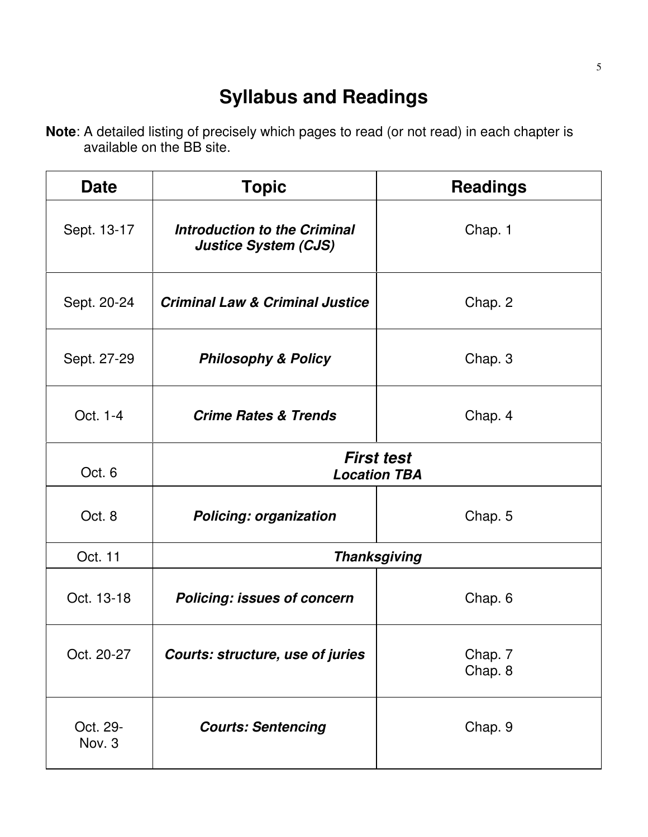# **Syllabus and Readings**

**Note**: A detailed listing of precisely which pages to read (or not read) in each chapter is available on the BB site.

| <b>Date</b>        | <b>Topic</b>                                                | <b>Readings</b>    |  |
|--------------------|-------------------------------------------------------------|--------------------|--|
| Sept. 13-17        | Introduction to the Criminal<br><b>Justice System (CJS)</b> | Chap. 1            |  |
| Sept. 20-24        | <b>Criminal Law &amp; Criminal Justice</b>                  | Chap. 2            |  |
| Sept. 27-29        | <b>Philosophy &amp; Policy</b>                              | Chap. 3            |  |
| Oct. 1-4           | <b>Crime Rates &amp; Trends</b>                             | Chap. 4            |  |
| Oct. 6             | <b>First test</b><br><b>Location TBA</b>                    |                    |  |
| Oct. 8             | <b>Policing: organization</b>                               | Chap. 5            |  |
| Oct. 11            | <b>Thanksgiving</b>                                         |                    |  |
| Oct. 13-18         | <b>Policing: issues of concern</b>                          | Chap. 6            |  |
| Oct. 20-27         | Courts: structure, use of juries                            | Chap. 7<br>Chap. 8 |  |
| Oct. 29-<br>Nov. 3 | <b>Courts: Sentencing</b>                                   | Chap. 9            |  |